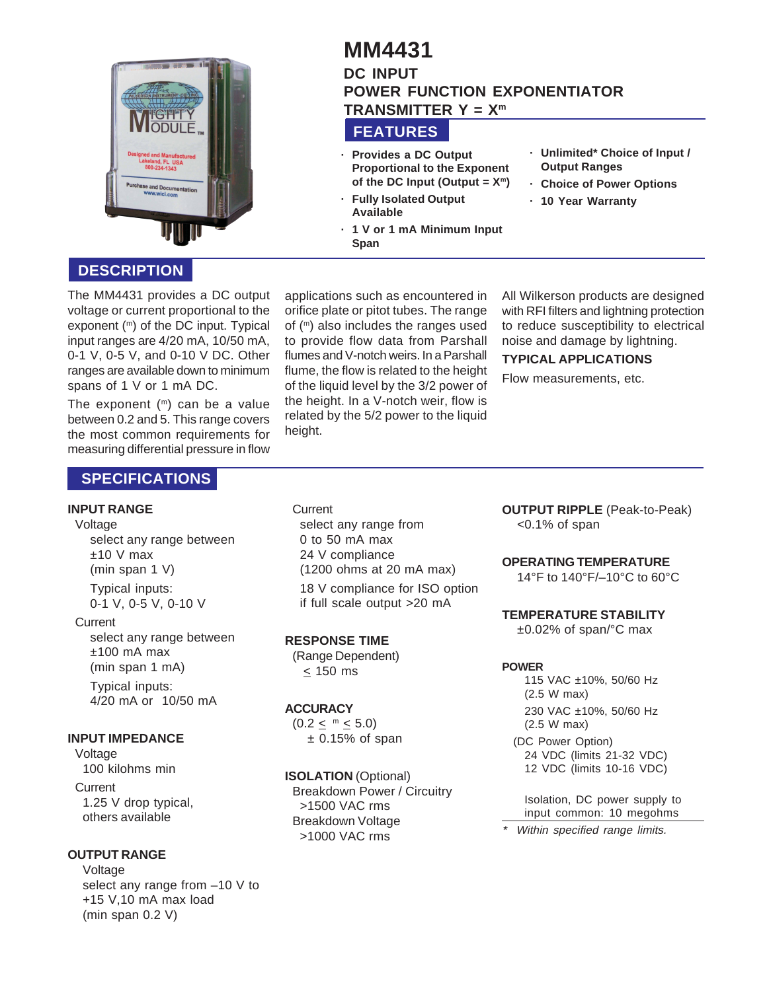

# **FEATURES MM4431 DC INPUT POWER FUNCTION EXPONENTIATOR TRANSMITTER Y = Xm**

**· Provides a DC Output Proportional to the Exponent** of the DC Input (Output  $= X<sup>m</sup>$ )

**· 1 V or 1 mA Minimum Input**

- **· Fully Isolated Output Available**
- **· Unlimited\* Choice of Input / Output Ranges**
- **· Choice of Power Options**
- **· 10 Year Warranty**

**DESCRIPTION**

The MM4431 provides a DC output voltage or current proportional to the exponent (m) of the DC input. Typical input ranges are 4/20 mA, 10/50 mA, 0-1 V, 0-5 V, and 0-10 V DC. Other ranges are available down to minimum spans of 1 V or 1 mA DC.

The exponent  $(m)$  can be a value between 0.2 and 5. This range covers the most common requirements for measuring differential pressure in flow

#### applications such as encountered in orifice plate or pitot tubes. The range of (m) also includes the ranges used to provide flow data from Parshall flumes and V-notch weirs. In a Parshall flume, the flow is related to the height of the liquid level by the 3/2 power of the height. In a V-notch weir, flow is related by the 5/2 power to the liquid height.

**Span**

All Wilkerson products are designed with RFI filters and lightning protection to reduce susceptibility to electrical noise and damage by lightning.

#### **TYPICAL APPLICATIONS**

Flow measurements, etc.

# **SPECIFICATIONS**

#### **INPUT RANGE**

#### Voltage

select any range between  $±10$  V max (min span 1 V) Typical inputs: 0-1 V, 0-5 V, 0-10 V

#### **Current**

select any range between ±100 mA max (min span 1 mA) Typical inputs: 4/20 mA or 10/50 mA

## **INPUT IMPEDANCE**

Voltage 100 kilohms min **Current** 1.25 V drop typical, others available

## **OUTPUT RANGE**

Voltage select any range from –10 V to +15 V,10 mA max load (min span 0.2 V)

**Current** select any range from 0 to 50 mA max 24 V compliance (1200 ohms at 20 mA max) 18 V compliance for ISO option if full scale output >20 mA

## **RESPONSE TIME**

(Range Dependent) < 150 ms

## **ACCURACY**

 $(0.2 \leq m \leq 5.0)$  $\pm$  0.15% of span

#### **ISOLATION** (Optional)

Breakdown Power / Circuitry >1500 VAC rms Breakdown Voltage >1000 VAC rms

**OUTPUT RIPPLE** (Peak-to-Peak) <0.1% of span

## **OPERATING TEMPERATURE**

14°F to 140°F/–10°C to 60°C

## **TEMPERATURE STABILITY**

±0.02% of span/°C max

#### **POWER**

115 VAC ±10%, 50/60 Hz (2.5 W max) 230 VAC ±10%, 50/60 Hz (2.5 W max)

(DC Power Option) 24 VDC (limits 21-32 VDC) 12 VDC (limits 10-16 VDC)

Isolation, DC power supply to input common: 10 megohms

Within specified range limits.